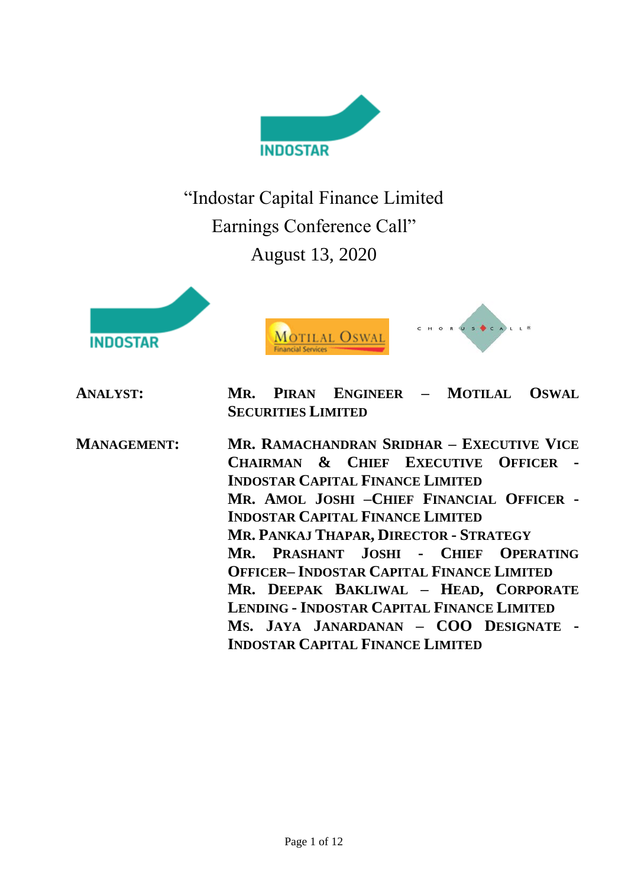

"Indostar Capital Finance Limited Earnings Conference Call" August 13, 2020





**ANALYST: MR. PIRAN ENGINEER – MOTILAL OSWAL SECURITIES LIMITED**

**MANAGEMENT: MR. RAMACHANDRAN SRIDHAR – EXECUTIVE VICE CHAIRMAN & CHIEF EXECUTIVE OFFICER - INDOSTAR CAPITAL FINANCE LIMITED MR. AMOL JOSHI –CHIEF FINANCIAL OFFICER - INDOSTAR CAPITAL FINANCE LIMITED MR. PANKAJ THAPAR, DIRECTOR - STRATEGY MR. PRASHANT JOSHI - CHIEF OPERATING OFFICER– INDOSTAR CAPITAL FINANCE LIMITED MR. DEEPAK BAKLIWAL – HEAD, CORPORATE LENDING - INDOSTAR CAPITAL FINANCE LIMITED MS. JAYA JANARDANAN – COO DESIGNATE - INDOSTAR CAPITAL FINANCE LIMITED**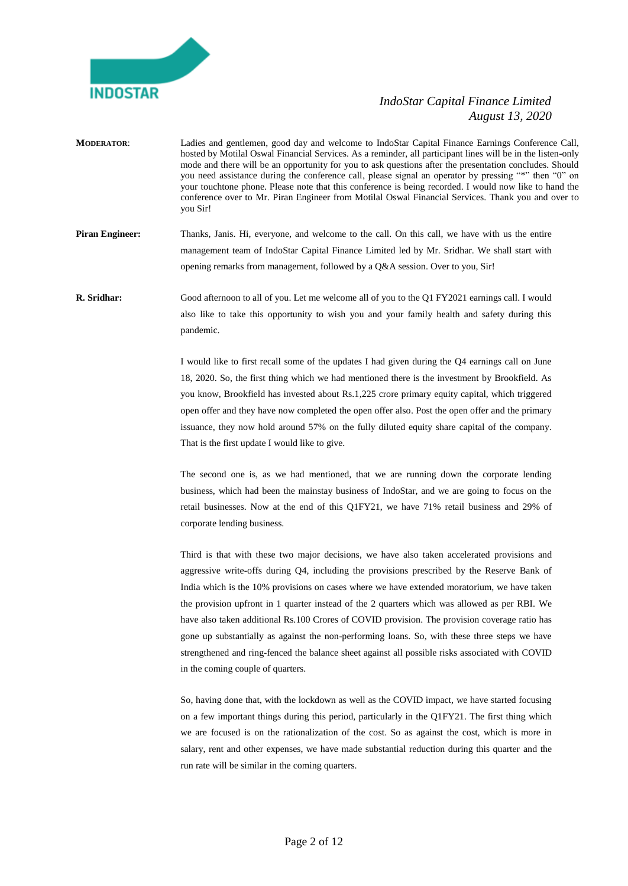

- **MODERATOR**: Ladies and gentlemen, good day and welcome to IndoStar Capital Finance Earnings Conference Call, hosted by Motilal Oswal Financial Services. As a reminder, all participant lines will be in the listen-only mode and there will be an opportunity for you to ask questions after the presentation concludes. Should you need assistance during the conference call, please signal an operator by pressing "\*" then "0" on your touchtone phone. Please note that this conference is being recorded. I would now like to hand the conference over to Mr. Piran Engineer from Motilal Oswal Financial Services. Thank you and over to you Sir!
- **Piran Engineer:** Thanks, Janis. Hi, everyone, and welcome to the call. On this call, we have with us the entire management team of IndoStar Capital Finance Limited led by Mr. Sridhar. We shall start with opening remarks from management, followed by a Q&A session. Over to you, Sir!
- **R. Sridhar:** Good afternoon to all of you. Let me welcome all of you to the Q1 FY2021 earnings call. I would also like to take this opportunity to wish you and your family health and safety during this pandemic.

I would like to first recall some of the updates I had given during the Q4 earnings call on June 18, 2020. So, the first thing which we had mentioned there is the investment by Brookfield. As you know, Brookfield has invested about Rs.1,225 crore primary equity capital, which triggered open offer and they have now completed the open offer also. Post the open offer and the primary issuance, they now hold around 57% on the fully diluted equity share capital of the company. That is the first update I would like to give.

The second one is, as we had mentioned, that we are running down the corporate lending business, which had been the mainstay business of IndoStar, and we are going to focus on the retail businesses. Now at the end of this Q1FY21, we have 71% retail business and 29% of corporate lending business.

Third is that with these two major decisions, we have also taken accelerated provisions and aggressive write-offs during Q4, including the provisions prescribed by the Reserve Bank of India which is the 10% provisions on cases where we have extended moratorium, we have taken the provision upfront in 1 quarter instead of the 2 quarters which was allowed as per RBI. We have also taken additional Rs.100 Crores of COVID provision. The provision coverage ratio has gone up substantially as against the non-performing loans. So, with these three steps we have strengthened and ring-fenced the balance sheet against all possible risks associated with COVID in the coming couple of quarters.

So, having done that, with the lockdown as well as the COVID impact, we have started focusing on a few important things during this period, particularly in the Q1FY21. The first thing which we are focused is on the rationalization of the cost. So as against the cost, which is more in salary, rent and other expenses, we have made substantial reduction during this quarter and the run rate will be similar in the coming quarters.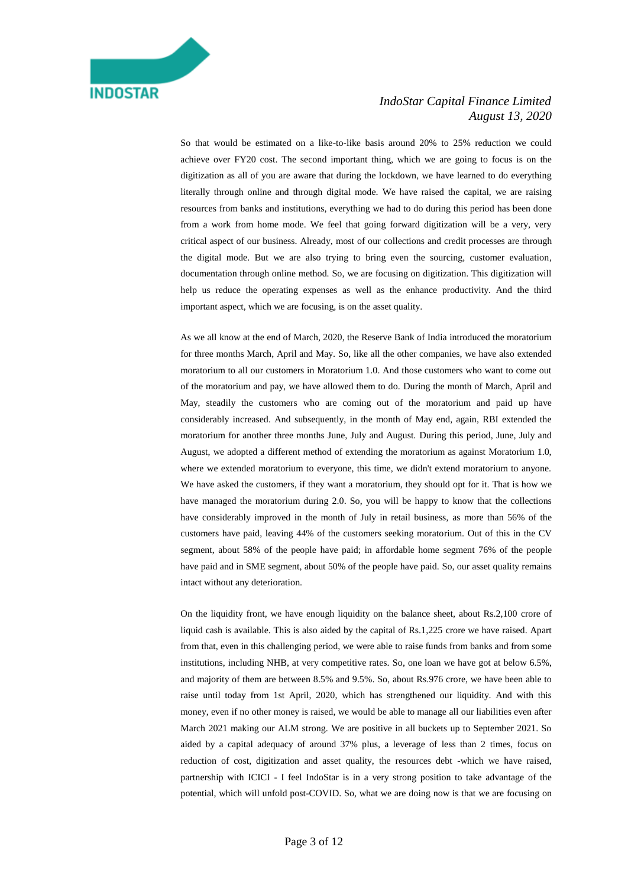So that would be estimated on a like-to-like basis around 20% to 25% reduction we could achieve over FY20 cost. The second important thing, which we are going to focus is on the digitization as all of you are aware that during the lockdown, we have learned to do everything literally through online and through digital mode. We have raised the capital, we are raising resources from banks and institutions, everything we had to do during this period has been done from a work from home mode. We feel that going forward digitization will be a very, very critical aspect of our business. Already, most of our collections and credit processes are through the digital mode. But we are also trying to bring even the sourcing, customer evaluation, documentation through online method. So, we are focusing on digitization. This digitization will help us reduce the operating expenses as well as the enhance productivity. And the third important aspect, which we are focusing, is on the asset quality.

As we all know at the end of March, 2020, the Reserve Bank of India introduced the moratorium for three months March, April and May. So, like all the other companies, we have also extended moratorium to all our customers in Moratorium 1.0. And those customers who want to come out of the moratorium and pay, we have allowed them to do. During the month of March, April and May, steadily the customers who are coming out of the moratorium and paid up have considerably increased. And subsequently, in the month of May end, again, RBI extended the moratorium for another three months June, July and August. During this period, June, July and August, we adopted a different method of extending the moratorium as against Moratorium 1.0, where we extended moratorium to everyone, this time, we didn't extend moratorium to anyone. We have asked the customers, if they want a moratorium, they should opt for it. That is how we have managed the moratorium during 2.0. So, you will be happy to know that the collections have considerably improved in the month of July in retail business, as more than 56% of the customers have paid, leaving 44% of the customers seeking moratorium. Out of this in the CV segment, about 58% of the people have paid; in affordable home segment 76% of the people have paid and in SME segment, about 50% of the people have paid. So, our asset quality remains intact without any deterioration.

On the liquidity front, we have enough liquidity on the balance sheet, about Rs.2,100 crore of liquid cash is available. This is also aided by the capital of Rs.1,225 crore we have raised. Apart from that, even in this challenging period, we were able to raise funds from banks and from some institutions, including NHB, at very competitive rates. So, one loan we have got at below 6.5%, and majority of them are between 8.5% and 9.5%. So, about Rs.976 crore, we have been able to raise until today from 1st April, 2020, which has strengthened our liquidity. And with this money, even if no other money is raised, we would be able to manage all our liabilities even after March 2021 making our ALM strong. We are positive in all buckets up to September 2021. So aided by a capital adequacy of around 37% plus, a leverage of less than 2 times, focus on reduction of cost, digitization and asset quality, the resources debt -which we have raised, partnership with ICICI - I feel IndoStar is in a very strong position to take advantage of the potential, which will unfold post-COVID. So, what we are doing now is that we are focusing on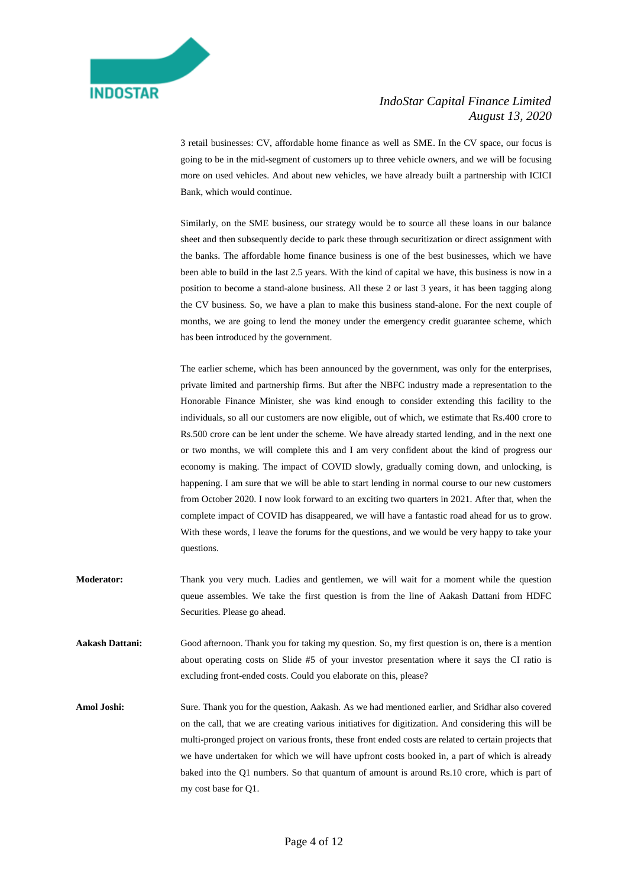

3 retail businesses: CV, affordable home finance as well as SME. In the CV space, our focus is going to be in the mid-segment of customers up to three vehicle owners, and we will be focusing more on used vehicles. And about new vehicles, we have already built a partnership with ICICI Bank, which would continue.

Similarly, on the SME business, our strategy would be to source all these loans in our balance sheet and then subsequently decide to park these through securitization or direct assignment with the banks. The affordable home finance business is one of the best businesses, which we have been able to build in the last 2.5 years. With the kind of capital we have, this business is now in a position to become a stand-alone business. All these 2 or last 3 years, it has been tagging along the CV business. So, we have a plan to make this business stand-alone. For the next couple of months, we are going to lend the money under the emergency credit guarantee scheme, which has been introduced by the government.

The earlier scheme, which has been announced by the government, was only for the enterprises, private limited and partnership firms. But after the NBFC industry made a representation to the Honorable Finance Minister, she was kind enough to consider extending this facility to the individuals, so all our customers are now eligible, out of which, we estimate that Rs.400 crore to Rs.500 crore can be lent under the scheme. We have already started lending, and in the next one or two months, we will complete this and I am very confident about the kind of progress our economy is making. The impact of COVID slowly, gradually coming down, and unlocking, is happening. I am sure that we will be able to start lending in normal course to our new customers from October 2020. I now look forward to an exciting two quarters in 2021. After that, when the complete impact of COVID has disappeared, we will have a fantastic road ahead for us to grow. With these words, I leave the forums for the questions, and we would be very happy to take your questions.

**Moderator:** Thank you very much. Ladies and gentlemen, we will wait for a moment while the question queue assembles. We take the first question is from the line of Aakash Dattani from HDFC Securities. Please go ahead.

**Aakash Dattani:** Good afternoon. Thank you for taking my question. So, my first question is on, there is a mention about operating costs on Slide #5 of your investor presentation where it says the CI ratio is excluding front-ended costs. Could you elaborate on this, please?

**Amol Joshi:** Sure. Thank you for the question, Aakash. As we had mentioned earlier, and Sridhar also covered on the call, that we are creating various initiatives for digitization. And considering this will be multi-pronged project on various fronts, these front ended costs are related to certain projects that we have undertaken for which we will have upfront costs booked in, a part of which is already baked into the Q1 numbers. So that quantum of amount is around Rs.10 crore, which is part of my cost base for Q1.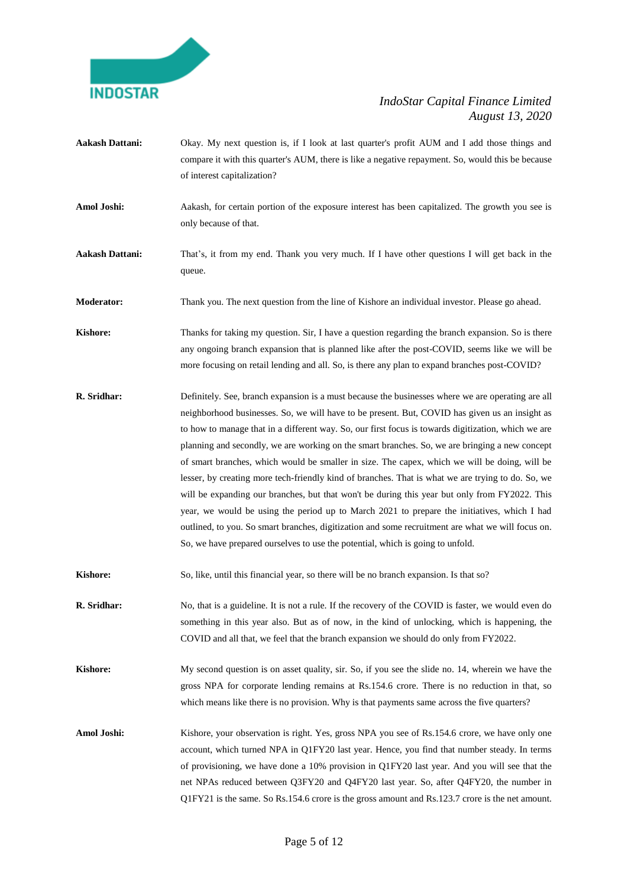

- **Aakash Dattani:** Okay. My next question is, if I look at last quarter's profit AUM and I add those things and compare it with this quarter's AUM, there is like a negative repayment. So, would this be because of interest capitalization?
- **Amol Joshi:** Aakash, for certain portion of the exposure interest has been capitalized. The growth you see is only because of that.
- **Aakash Dattani:** That's, it from my end. Thank you very much. If I have other questions I will get back in the queue.

**Moderator:** Thank you. The next question from the line of Kishore an individual investor. Please go ahead.

- **Kishore:** Thanks for taking my question. Sir, I have a question regarding the branch expansion. So is there any ongoing branch expansion that is planned like after the post-COVID, seems like we will be more focusing on retail lending and all. So, is there any plan to expand branches post-COVID?
- **R. Sridhar:** Definitely. See, branch expansion is a must because the businesses where we are operating are all neighborhood businesses. So, we will have to be present. But, COVID has given us an insight as to how to manage that in a different way. So, our first focus is towards digitization, which we are planning and secondly, we are working on the smart branches. So, we are bringing a new concept of smart branches, which would be smaller in size. The capex, which we will be doing, will be lesser, by creating more tech-friendly kind of branches. That is what we are trying to do. So, we will be expanding our branches, but that won't be during this year but only from FY2022. This year, we would be using the period up to March 2021 to prepare the initiatives, which I had outlined, to you. So smart branches, digitization and some recruitment are what we will focus on. So, we have prepared ourselves to use the potential, which is going to unfold.
- **Kishore:** So, like, until this financial year, so there will be no branch expansion. Is that so?
- **R. Sridhar:** No, that is a guideline. It is not a rule. If the recovery of the COVID is faster, we would even do something in this year also. But as of now, in the kind of unlocking, which is happening, the COVID and all that, we feel that the branch expansion we should do only from FY2022.
- **Kishore:** My second question is on asset quality, sir. So, if you see the slide no. 14, wherein we have the gross NPA for corporate lending remains at Rs.154.6 crore. There is no reduction in that, so which means like there is no provision. Why is that payments same across the five quarters?
- Amol Joshi: Kishore, your observation is right. Yes, gross NPA you see of Rs.154.6 crore, we have only one account, which turned NPA in Q1FY20 last year. Hence, you find that number steady. In terms of provisioning, we have done a 10% provision in Q1FY20 last year. And you will see that the net NPAs reduced between Q3FY20 and Q4FY20 last year. So, after Q4FY20, the number in Q1FY21 is the same. So Rs.154.6 crore is the gross amount and Rs.123.7 crore is the net amount.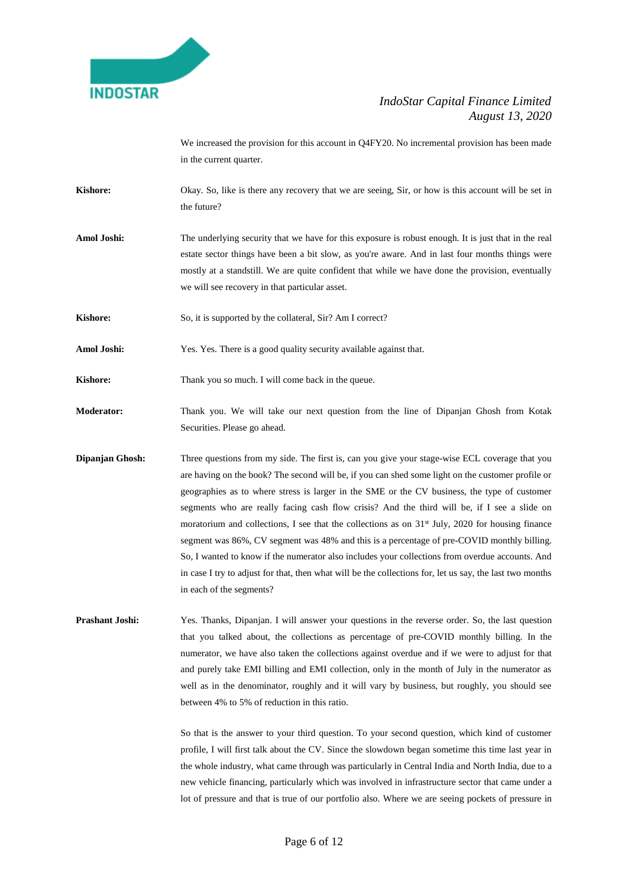

We increased the provision for this account in Q4FY20. No incremental provision has been made in the current quarter.

- **Kishore:** Okay. So, like is there any recovery that we are seeing, Sir, or how is this account will be set in the future?
- **Amol Joshi:** The underlying security that we have for this exposure is robust enough. It is just that in the real estate sector things have been a bit slow, as you're aware. And in last four months things were mostly at a standstill. We are quite confident that while we have done the provision, eventually we will see recovery in that particular asset.
- **Kishore:** So, it is supported by the collateral, Sir? Am I correct?
- Amol Joshi: Yes. Yes. There is a good quality security available against that.

**Kishore:** Thank you so much. I will come back in the queue.

- **Moderator:** Thank you. We will take our next question from the line of Dipanjan Ghosh from Kotak Securities. Please go ahead.
- **Dipanjan Ghosh:** Three questions from my side. The first is, can you give your stage-wise ECL coverage that you are having on the book? The second will be, if you can shed some light on the customer profile or geographies as to where stress is larger in the SME or the CV business, the type of customer segments who are really facing cash flow crisis? And the third will be, if I see a slide on moratorium and collections, I see that the collections as on  $31<sup>st</sup>$  July, 2020 for housing finance segment was 86%, CV segment was 48% and this is a percentage of pre-COVID monthly billing. So, I wanted to know if the numerator also includes your collections from overdue accounts. And in case I try to adjust for that, then what will be the collections for, let us say, the last two months in each of the segments?
- **Prashant Joshi:** Yes. Thanks, Dipanjan. I will answer your questions in the reverse order. So, the last question that you talked about, the collections as percentage of pre-COVID monthly billing. In the numerator, we have also taken the collections against overdue and if we were to adjust for that and purely take EMI billing and EMI collection, only in the month of July in the numerator as well as in the denominator, roughly and it will vary by business, but roughly, you should see between 4% to 5% of reduction in this ratio.

So that is the answer to your third question. To your second question, which kind of customer profile, I will first talk about the CV. Since the slowdown began sometime this time last year in the whole industry, what came through was particularly in Central India and North India, due to a new vehicle financing, particularly which was involved in infrastructure sector that came under a lot of pressure and that is true of our portfolio also. Where we are seeing pockets of pressure in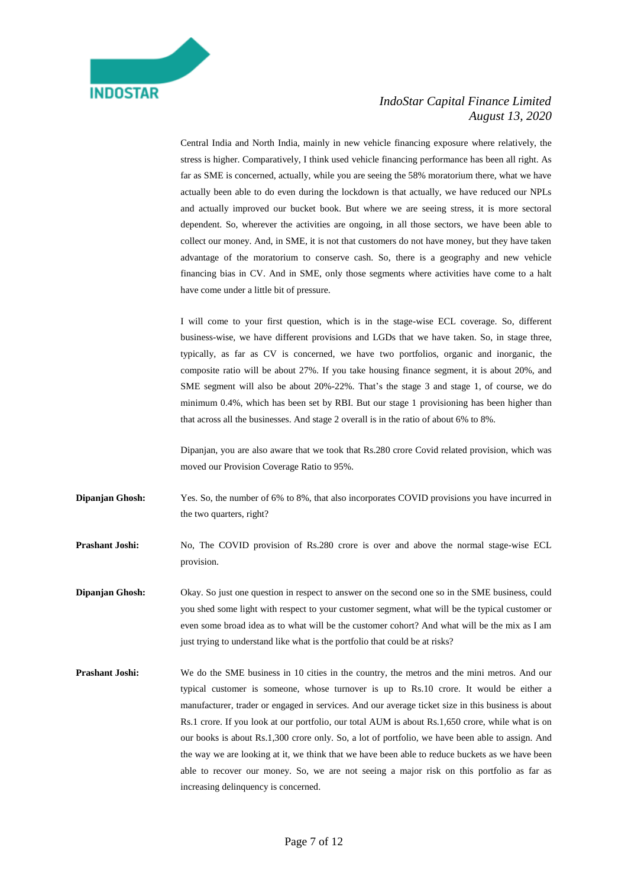Central India and North India, mainly in new vehicle financing exposure where relatively, the stress is higher. Comparatively, I think used vehicle financing performance has been all right. As far as SME is concerned, actually, while you are seeing the 58% moratorium there, what we have actually been able to do even during the lockdown is that actually, we have reduced our NPLs and actually improved our bucket book. But where we are seeing stress, it is more sectoral dependent. So, wherever the activities are ongoing, in all those sectors, we have been able to collect our money. And, in SME, it is not that customers do not have money, but they have taken advantage of the moratorium to conserve cash. So, there is a geography and new vehicle financing bias in CV. And in SME, only those segments where activities have come to a halt have come under a little bit of pressure.

I will come to your first question, which is in the stage-wise ECL coverage. So, different business-wise, we have different provisions and LGDs that we have taken. So, in stage three, typically, as far as CV is concerned, we have two portfolios, organic and inorganic, the composite ratio will be about 27%. If you take housing finance segment, it is about 20%, and SME segment will also be about 20%-22%. That's the stage 3 and stage 1, of course, we do minimum 0.4%, which has been set by RBI. But our stage 1 provisioning has been higher than that across all the businesses. And stage 2 overall is in the ratio of about 6% to 8%.

Dipanjan, you are also aware that we took that Rs.280 crore Covid related provision, which was moved our Provision Coverage Ratio to 95%.

**Dipanjan Ghosh:** Yes. So, the number of 6% to 8%, that also incorporates COVID provisions you have incurred in the two quarters, right?

**Prashant Joshi:** No, The COVID provision of Rs.280 crore is over and above the normal stage-wise ECL provision.

**Dipanjan Ghosh:** Okay. So just one question in respect to answer on the second one so in the SME business, could you shed some light with respect to your customer segment, what will be the typical customer or even some broad idea as to what will be the customer cohort? And what will be the mix as I am just trying to understand like what is the portfolio that could be at risks?

**Prashant Joshi:** We do the SME business in 10 cities in the country, the metros and the mini metros. And our typical customer is someone, whose turnover is up to Rs.10 crore. It would be either a manufacturer, trader or engaged in services. And our average ticket size in this business is about Rs.1 crore. If you look at our portfolio, our total AUM is about Rs.1,650 crore, while what is on our books is about Rs.1,300 crore only. So, a lot of portfolio, we have been able to assign. And the way we are looking at it, we think that we have been able to reduce buckets as we have been able to recover our money. So, we are not seeing a major risk on this portfolio as far as increasing delinquency is concerned.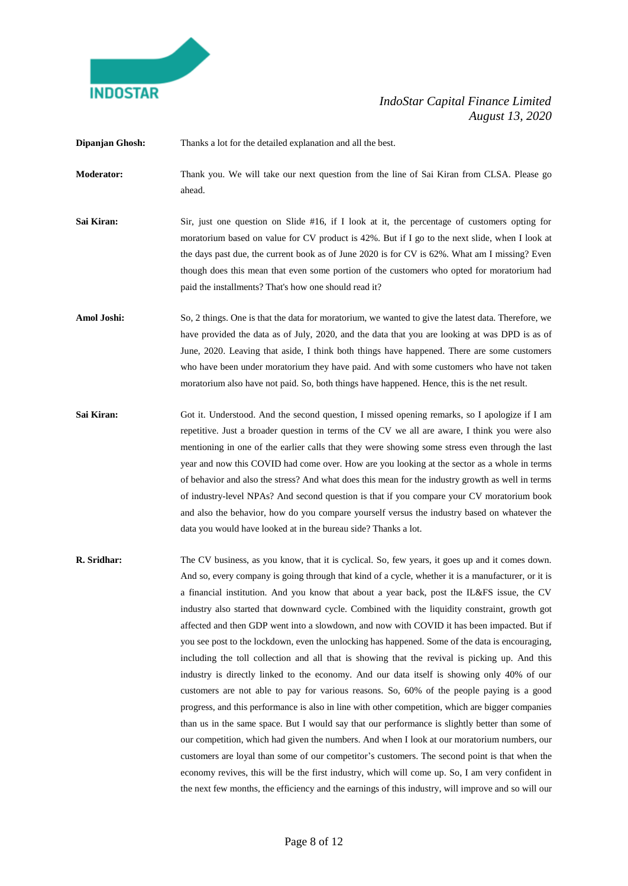

**Dipanjan Ghosh:** Thanks a lot for the detailed explanation and all the best.

- **Moderator:** Thank you. We will take our next question from the line of Sai Kiran from CLSA. Please go ahead.
- **Sai Kiran:** Sir, just one question on Slide #16, if I look at it, the percentage of customers opting for moratorium based on value for CV product is 42%. But if I go to the next slide, when I look at the days past due, the current book as of June 2020 is for CV is 62%. What am I missing? Even though does this mean that even some portion of the customers who opted for moratorium had paid the installments? That's how one should read it?
- Amol Joshi: So, 2 things. One is that the data for moratorium, we wanted to give the latest data. Therefore, we have provided the data as of July, 2020, and the data that you are looking at was DPD is as of June, 2020. Leaving that aside, I think both things have happened. There are some customers who have been under moratorium they have paid. And with some customers who have not taken moratorium also have not paid. So, both things have happened. Hence, this is the net result.
- **Sai Kiran:** Got it. Understood. And the second question, I missed opening remarks, so I apologize if I am repetitive. Just a broader question in terms of the CV we all are aware, I think you were also mentioning in one of the earlier calls that they were showing some stress even through the last year and now this COVID had come over. How are you looking at the sector as a whole in terms of behavior and also the stress? And what does this mean for the industry growth as well in terms of industry-level NPAs? And second question is that if you compare your CV moratorium book and also the behavior, how do you compare yourself versus the industry based on whatever the data you would have looked at in the bureau side? Thanks a lot.
- **R. Sridhar:** The CV business, as you know, that it is cyclical. So, few years, it goes up and it comes down. And so, every company is going through that kind of a cycle, whether it is a manufacturer, or it is a financial institution. And you know that about a year back, post the IL&FS issue, the CV industry also started that downward cycle. Combined with the liquidity constraint, growth got affected and then GDP went into a slowdown, and now with COVID it has been impacted. But if you see post to the lockdown, even the unlocking has happened. Some of the data is encouraging, including the toll collection and all that is showing that the revival is picking up. And this industry is directly linked to the economy. And our data itself is showing only 40% of our customers are not able to pay for various reasons. So, 60% of the people paying is a good progress, and this performance is also in line with other competition, which are bigger companies than us in the same space. But I would say that our performance is slightly better than some of our competition, which had given the numbers. And when I look at our moratorium numbers, our customers are loyal than some of our competitor's customers. The second point is that when the economy revives, this will be the first industry, which will come up. So, I am very confident in the next few months, the efficiency and the earnings of this industry, will improve and so will our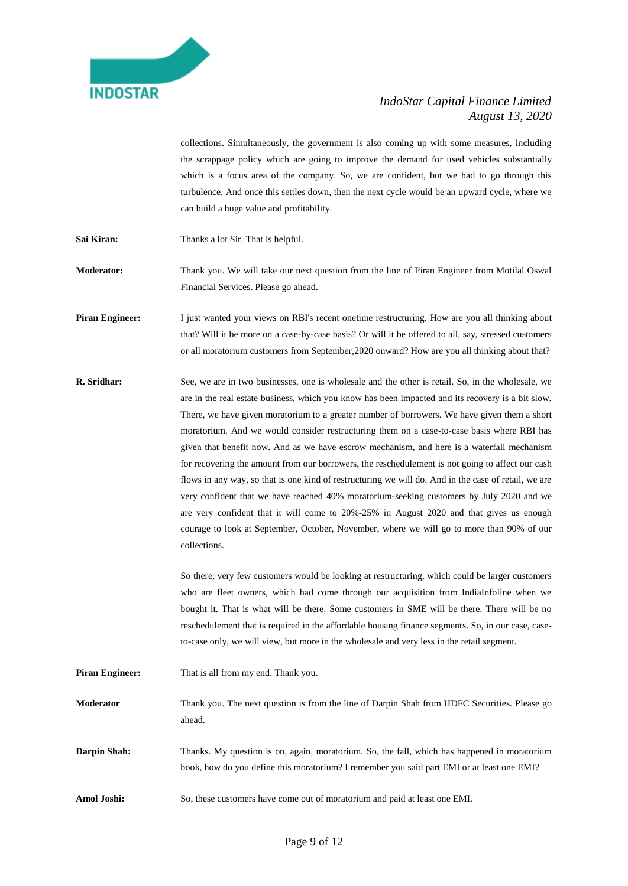

collections. Simultaneously, the government is also coming up with some measures, including the scrappage policy which are going to improve the demand for used vehicles substantially which is a focus area of the company. So, we are confident, but we had to go through this turbulence. And once this settles down, then the next cycle would be an upward cycle, where we can build a huge value and profitability.

Sai Kiran: Thanks a lot Sir. That is helpful.

**Moderator:** Thank you. We will take our next question from the line of Piran Engineer from Motilal Oswal Financial Services. Please go ahead.

**Piran Engineer:** I just wanted your views on RBI's recent onetime restructuring. How are you all thinking about that? Will it be more on a case-by-case basis? Or will it be offered to all, say, stressed customers or all moratorium customers from September,2020 onward? How are you all thinking about that?

**R. Sridhar:** See, we are in two businesses, one is wholesale and the other is retail. So, in the wholesale, we are in the real estate business, which you know has been impacted and its recovery is a bit slow. There, we have given moratorium to a greater number of borrowers. We have given them a short moratorium. And we would consider restructuring them on a case-to-case basis where RBI has given that benefit now. And as we have escrow mechanism, and here is a waterfall mechanism for recovering the amount from our borrowers, the reschedulement is not going to affect our cash flows in any way, so that is one kind of restructuring we will do. And in the case of retail, we are very confident that we have reached 40% moratorium-seeking customers by July 2020 and we are very confident that it will come to 20%-25% in August 2020 and that gives us enough courage to look at September, October, November, where we will go to more than 90% of our collections.

> So there, very few customers would be looking at restructuring, which could be larger customers who are fleet owners, which had come through our acquisition from IndiaInfoline when we bought it. That is what will be there. Some customers in SME will be there. There will be no reschedulement that is required in the affordable housing finance segments. So, in our case, caseto-case only, we will view, but more in the wholesale and very less in the retail segment.

**Piran Engineer:** That is all from my end. Thank you.

**Moderator** Thank you. The next question is from the line of Darpin Shah from HDFC Securities. Please go ahead.

**Darpin Shah:** Thanks. My question is on, again, moratorium. So, the fall, which has happened in moratorium book, how do you define this moratorium? I remember you said part EMI or at least one EMI?

**Amol Joshi:** So, these customers have come out of moratorium and paid at least one EMI.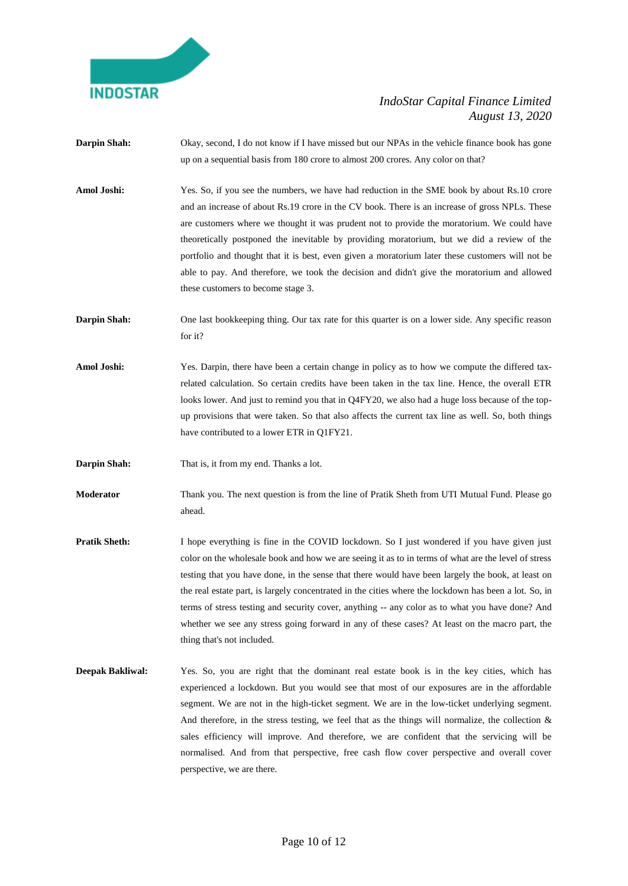

- **Darpin Shah:** Okay, second, I do not know if I have missed but our NPAs in the vehicle finance book has gone up on a sequential basis from 180 crore to almost 200 crores. Any color on that?
- **Amol Joshi:** Yes. So, if you see the numbers, we have had reduction in the SME book by about Rs.10 crore and an increase of about Rs.19 crore in the CV book. There is an increase of gross NPLs. These are customers where we thought it was prudent not to provide the moratorium. We could have theoretically postponed the inevitable by providing moratorium, but we did a review of the portfolio and thought that it is best, even given a moratorium later these customers will not be able to pay. And therefore, we took the decision and didn't give the moratorium and allowed these customers to become stage 3.
- **Darpin Shah:** One last bookkeeping thing. Our tax rate for this quarter is on a lower side. Any specific reason for it?
- Amol Joshi: Yes. Darpin, there have been a certain change in policy as to how we compute the differed taxrelated calculation. So certain credits have been taken in the tax line. Hence, the overall ETR looks lower. And just to remind you that in Q4FY20, we also had a huge loss because of the topup provisions that were taken. So that also affects the current tax line as well. So, both things have contributed to a lower ETR in Q1FY21.
- **Darpin Shah:** That is, it from my end. Thanks a lot.
- **Moderator** Thank you. The next question is from the line of Pratik Sheth from UTI Mutual Fund. Please go ahead.
- **Pratik Sheth:** I hope everything is fine in the COVID lockdown. So I just wondered if you have given just color on the wholesale book and how we are seeing it as to in terms of what are the level of stress testing that you have done, in the sense that there would have been largely the book, at least on the real estate part, is largely concentrated in the cities where the lockdown has been a lot. So, in terms of stress testing and security cover, anything -- any color as to what you have done? And whether we see any stress going forward in any of these cases? At least on the macro part, the thing that's not included.
- **Deepak Bakliwal:** Yes. So, you are right that the dominant real estate book is in the key cities, which has experienced a lockdown. But you would see that most of our exposures are in the affordable segment. We are not in the high-ticket segment. We are in the low-ticket underlying segment. And therefore, in the stress testing, we feel that as the things will normalize, the collection  $\&$ sales efficiency will improve. And therefore, we are confident that the servicing will be normalised. And from that perspective, free cash flow cover perspective and overall cover perspective, we are there.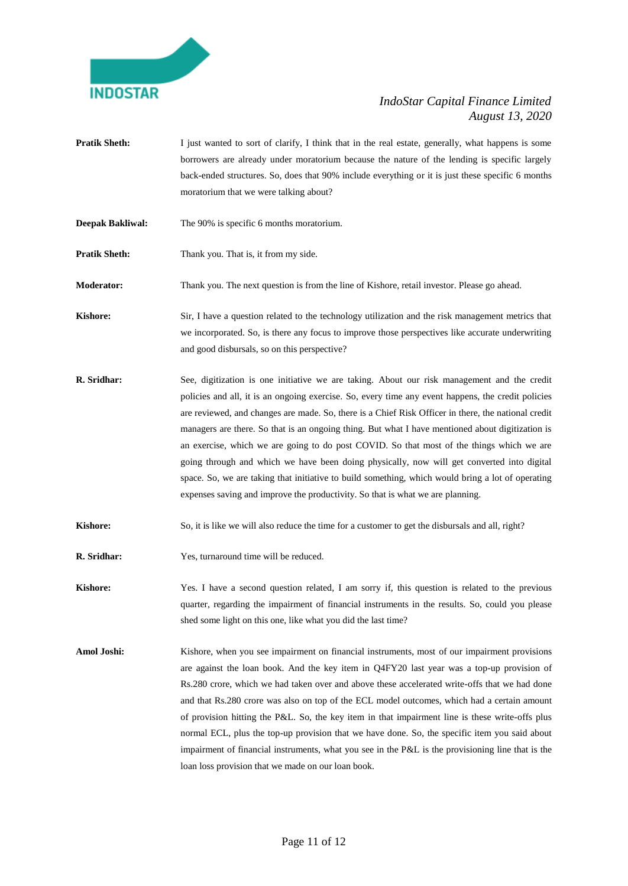

- **Pratik Sheth:** I just wanted to sort of clarify, I think that in the real estate, generally, what happens is some borrowers are already under moratorium because the nature of the lending is specific largely back-ended structures. So, does that 90% include everything or it is just these specific 6 months moratorium that we were talking about?
- **Deepak Bakliwal:** The 90% is specific 6 months moratorium.

**Pratik Sheth:** Thank you. That is, it from my side.

**Moderator:** Thank you. The next question is from the line of Kishore, retail investor. Please go ahead.

**Kishore:** Sir, I have a question related to the technology utilization and the risk management metrics that we incorporated. So, is there any focus to improve those perspectives like accurate underwriting and good disbursals, so on this perspective?

- **R. Sridhar:** See, digitization is one initiative we are taking. About our risk management and the credit policies and all, it is an ongoing exercise. So, every time any event happens, the credit policies are reviewed, and changes are made. So, there is a Chief Risk Officer in there, the national credit managers are there. So that is an ongoing thing. But what I have mentioned about digitization is an exercise, which we are going to do post COVID. So that most of the things which we are going through and which we have been doing physically, now will get converted into digital space. So, we are taking that initiative to build something, which would bring a lot of operating expenses saving and improve the productivity. So that is what we are planning.
- **Kishore:** So, it is like we will also reduce the time for a customer to get the disbursals and all, right?
- **R. Sridhar:** Yes, turnaround time will be reduced.

**Kishore:** Yes. I have a second question related, I am sorry if, this question is related to the previous quarter, regarding the impairment of financial instruments in the results. So, could you please shed some light on this one, like what you did the last time?

Amol Joshi: Kishore, when you see impairment on financial instruments, most of our impairment provisions are against the loan book. And the key item in Q4FY20 last year was a top-up provision of Rs.280 crore, which we had taken over and above these accelerated write-offs that we had done and that Rs.280 crore was also on top of the ECL model outcomes, which had a certain amount of provision hitting the P&L. So, the key item in that impairment line is these write-offs plus normal ECL, plus the top-up provision that we have done. So, the specific item you said about impairment of financial instruments, what you see in the P&L is the provisioning line that is the loan loss provision that we made on our loan book.